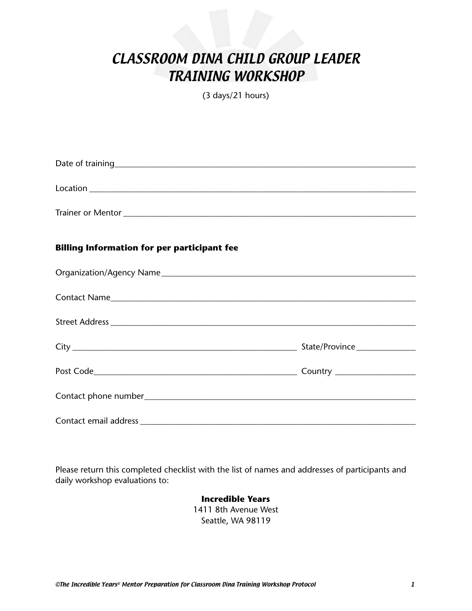# CLASSROOM DINA CHILD GROUP LEADER TRAINING WORKSHOP

(3 days/21 hours)

| $\begin{picture}(150,10) \put(0,0){\vector(1,0){100}} \put(15,0){\vector(1,0){100}} \put(15,0){\vector(1,0){100}} \put(15,0){\vector(1,0){100}} \put(15,0){\vector(1,0){100}} \put(15,0){\vector(1,0){100}} \put(15,0){\vector(1,0){100}} \put(15,0){\vector(1,0){100}} \put(15,0){\vector(1,0){100}} \put(15,0){\vector(1,0){100}} \put(15,0){\vector(1,0){100}}$ |  |
|--------------------------------------------------------------------------------------------------------------------------------------------------------------------------------------------------------------------------------------------------------------------------------------------------------------------------------------------------------------------|--|
|                                                                                                                                                                                                                                                                                                                                                                    |  |
| <b>Billing Information for per participant fee</b>                                                                                                                                                                                                                                                                                                                 |  |
|                                                                                                                                                                                                                                                                                                                                                                    |  |
|                                                                                                                                                                                                                                                                                                                                                                    |  |
|                                                                                                                                                                                                                                                                                                                                                                    |  |
|                                                                                                                                                                                                                                                                                                                                                                    |  |
|                                                                                                                                                                                                                                                                                                                                                                    |  |
|                                                                                                                                                                                                                                                                                                                                                                    |  |
|                                                                                                                                                                                                                                                                                                                                                                    |  |

Please return this completed checklist with the list of names and addresses of participants and daily workshop evaluations to:

> **Incredible Years** 1411 8th Avenue West Seattle, WA 98119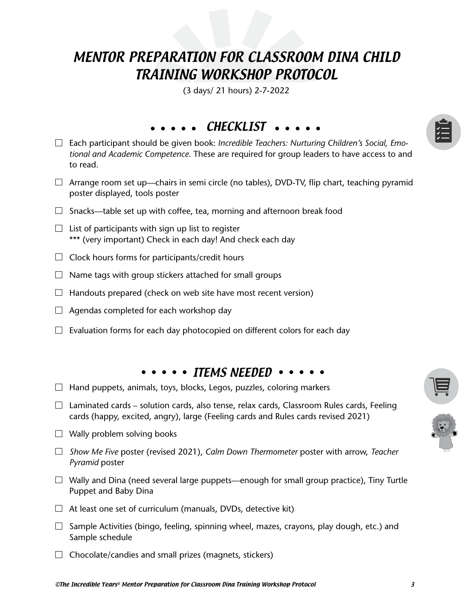# MENTOR PREPARATION FOR CLASSROOM DINA CHILD TRAINING WORKSHOP PROTOCOL

(3 days/ 21 hours) 2-7-2022

# CHECKLIST ....

- Each participant should be given book: *Incredible Teachers: Nurturing Children's Social, Emotional and Academic Competence*. These are required for group leaders to have access to and to read.
- $\Box$  Arrange room set up—chairs in semi circle (no tables), DVD-TV, flip chart, teaching pyramid poster displayed, tools poster
- $\Box$  Snacks—table set up with coffee, tea, morning and afternoon break food
- $\Box$  List of participants with sign up list to register \*\*\* (very important) Check in each day! And check each day
- $\Box$  Clock hours forms for participants/credit hours
- $\Box$  Name tags with group stickers attached for small groups
- $\Box$  Handouts prepared (check on web site have most recent version)
- $\Box$  Agendas completed for each workshop day
- $\Box$  Evaluation forms for each day photocopied on different colors for each day

## $\cdots$   $\cdots$  items needed  $\cdots$

- $\Box$  Hand puppets, animals, toys, blocks, Legos, puzzles, coloring markers
- $\Box$  Laminated cards solution cards, also tense, relax cards, Classroom Rules cards, Feeling cards (happy, excited, angry), large (Feeling cards and Rules cards revised 2021)
- $\Box$  Wally problem solving books
- *Show Me Five* poster (revised 2021), *Calm Down Thermometer* poster with arrow, *Teacher Pyramid* poster
- $\Box$  Wally and Dina (need several large puppets—enough for small group practice), Tiny Turtle Puppet and Baby Dina
- $\Box$  At least one set of curriculum (manuals, DVDs, detective kit)
- $\Box$  Sample Activities (bingo, feeling, spinning wheel, mazes, crayons, play dough, etc.) and Sample schedule
- $\Box$  Chocolate/candies and small prizes (magnets, stickers)

| v. |  |
|----|--|
|    |  |
| ≺  |  |
|    |  |

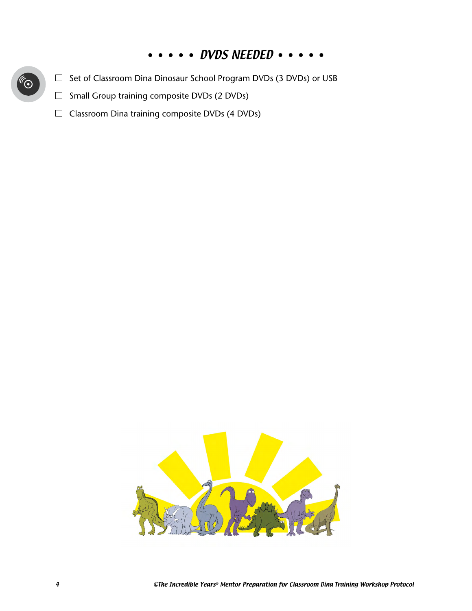# • • DVDS NEEDED •

- □ Set of Classroom Dina Dinosaur School Program DVDs (3 DVDs) or USB
- $\Box$  Small Group training composite DVDs (2 DVDs)
- $\Box$  Classroom Dina training composite DVDs (4 DVDs)

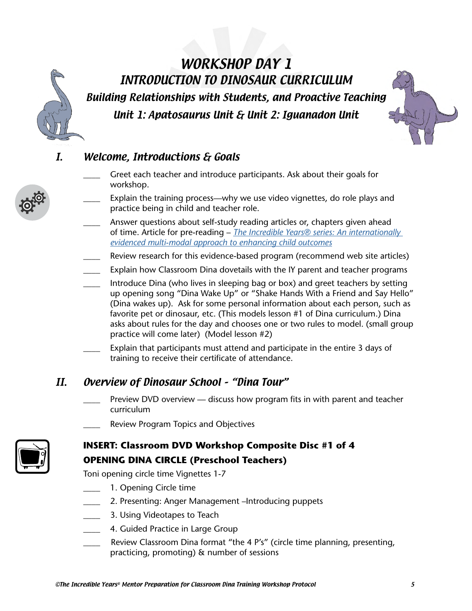# WORKSHOP DAY 1 INTRODUCTION TO DINOSAUR CURRICULUM Building Relationships with Students, and Proactive Teaching Unit 1: Apatosaurus Unit & Unit 2: Iguanadon Unit



# I. Welcome, Introductions & Goals

- Greet each teacher and introduce participants. Ask about their goals for workshop.
- Explain the training process—why we use video vignettes, do role plays and practice being in child and teacher role.
- Answer questions about self-study reading articles or, chapters given ahead of time. Article for pre-reading – *[The Incredible Years® series: An internationally](https://incredibleyears.com/article/the-incredible-years%ef%83%a2-series-an-internationally-evidenced-multi-modal-approach-to-enhancing-child-outcomes/)  [evidenced multi-modal approach to enhancing child outcomes](https://incredibleyears.com/article/the-incredible-years%ef%83%a2-series-an-internationally-evidenced-multi-modal-approach-to-enhancing-child-outcomes/)*
- Review research for this evidence-based program (recommend web site articles)
- Explain how Classroom Dina dovetails with the IY parent and teacher programs
- \_\_\_\_ Introduce Dina (who lives in sleeping bag or box) and greet teachers by setting up opening song "Dina Wake Up" or "Shake Hands With a Friend and Say Hello" (Dina wakes up). Ask for some personal information about each person, such as favorite pet or dinosaur, etc. (This models lesson #1 of Dina curriculum.) Dina asks about rules for the day and chooses one or two rules to model. (small group practice will come later) (Model lesson #2)
- Explain that participants must attend and participate in the entire 3 days of training to receive their certificate of attendance.

# II. Overview of Dinosaur School – "Dina Tour"

- Preview DVD overview discuss how program fits in with parent and teacher curriculum
- Review Program Topics and Objectives



# **INSERT: Classroom DVD Workshop Composite Disc #1 of 4 OPENING DINA CIRCLE (Preschool Teachers)**

Toni opening circle time Vignettes 1-7

- 1. Opening Circle time
- 2. Presenting: Anger Management –Introducing puppets
- \_\_\_\_ 3. Using Videotapes to Teach
- \_\_\_\_ 4. Guided Practice in Large Group
- Review Classroom Dina format "the 4 P's" (circle time planning, presenting, practicing, promoting) & number of sessions

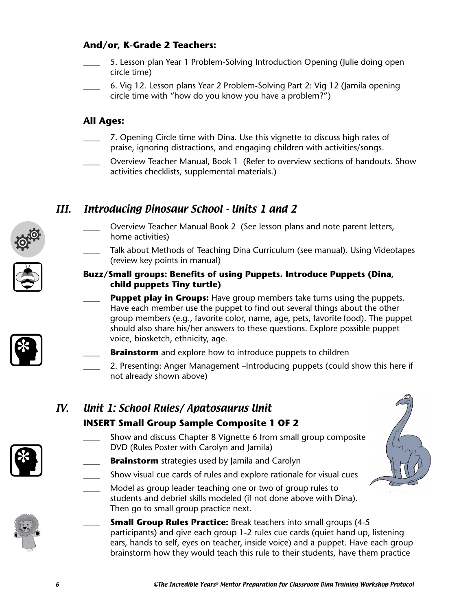## **And/or, K-Grade 2 Teachers:**

- 5. Lesson plan Year 1 Problem-Solving Introduction Opening (Julie doing open circle time)
- \_\_\_\_ 6. Vig 12. Lesson plans Year 2 Problem-Solving Part 2: Vig 12 (Jamila opening circle time with "how do you know you have a problem?")

## **All Ages:**

- 7. Opening Circle time with Dina. Use this vignette to discuss high rates of praise, ignoring distractions, and engaging children with activities/songs.
- Overview Teacher Manual, Book 1 (Refer to overview sections of handouts. Show activities checklists, supplemental materials.)

## III. Introducing Dinosaur School - Units 1 and 2

- 
- Overview Teacher Manual Book 2 (See lesson plans and note parent letters, home activities)
- Talk about Methods of Teaching Dina Curriculum (see manual). Using Videotapes (review key points in manual)

## **Buzz/Small groups: Benefits of using Puppets. Introduce Puppets (Dina, child puppets Tiny turtle)**

- **Puppet play in Groups:** Have group members take turns using the puppets. Have each member use the puppet to find out several things about the other group members (e.g., favorite color, name, age, pets, favorite food). The puppet should also share his/her answers to these questions. Explore possible puppet voice, biosketch, ethnicity, age.
- **Brainstorm** and explore how to introduce puppets to children
	- \_\_\_\_ 2. Presenting: Anger Management –Introducing puppets (could show this here if not already shown above)

# IV. Unit 1: School Rules/ Apatosaurus Unit **INSERT Small Group Sample Composite 1 OF 2**

- Show and discuss Chapter 8 Vignette 6 from small group composite DVD (Rules Poster with Carolyn and Jamila)
- **Brainstorm** strategies used by Jamila and Carolyn
- Show visual cue cards of rules and explore rationale for visual cues
- Model as group leader teaching one or two of group rules to students and debrief skills modeled (if not done above with Dina). Then go to small group practice next.
	- **Small Group Rules Practice:** Break teachers into small groups (4-5) participants) and give each group 1-2 rules cue cards (quiet hand up, listening ears, hands to self, eyes on teacher, inside voice) and a puppet. Have each group brainstorm how they would teach this rule to their students, have them practice





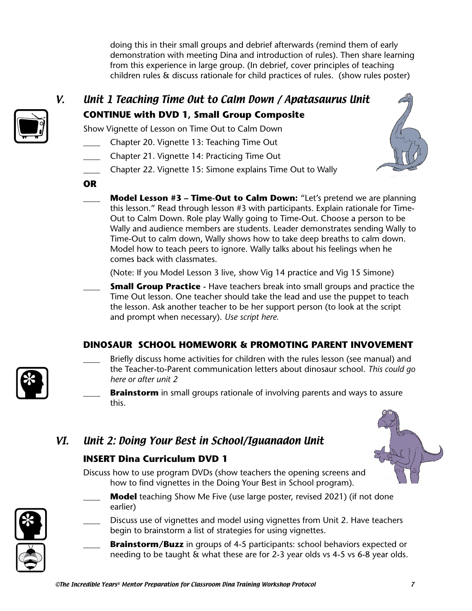doing this in their small groups and debrief afterwards (remind them of early demonstration with meeting Dina and introduction of rules). Then share learning from this experience in large group. (In debrief, cover principles of teaching children rules & discuss rationale for child practices of rules. (show rules poster)



# V. Unit 1 Teaching Time Out to Calm Down / Apatasaurus Unit **CONTINUE with DVD 1, Small Group Composite**

Show Vignette of Lesson on Time Out to Calm Down

- \_\_\_\_ Chapter 20. Vignette 13: Teaching Time Out
- \_\_\_\_ Chapter 21. Vignette 14: Practicing Time Out
- Chapter 22. Vignette 15: Simone explains Time Out to Wally



- **OR**
	- **Model Lesson #3 Time-Out to Calm Down:** "Let's pretend we are planning this lesson." Read through lesson #3 with participants. Explain rationale for Time-Out to Calm Down. Role play Wally going to Time-Out. Choose a person to be Wally and audience members are students. Leader demonstrates sending Wally to Time-Out to calm down, Wally shows how to take deep breaths to calm down. Model how to teach peers to ignore. Wally talks about his feelings when he comes back with classmates.

(Note: If you Model Lesson 3 live, show Vig 14 practice and Vig 15 Simone)

**Small Group Practice** - Have teachers break into small groups and practice the Time Out lesson. One teacher should take the lead and use the puppet to teach the lesson. Ask another teacher to be her support person (to look at the script and prompt when necessary). *Use script here.*

## **DINOSAUR SCHOOL HOMEWORK & PROMOTING PARENT INVOVEMENT**

Briefly discuss home activities for children with the rules lesson (see manual) and the Teacher-to-Parent communication letters about dinosaur school. *This could go here or after unit 2*

**Brainstorm** in small groups rationale of involving parents and ways to assure this.

# VI. Unit 2: Doing Your Best in School/Iguanadon Unit

# **INSERT Dina Curriculum DVD 1**

Discuss how to use program DVDs (show teachers the opening screens and how to find vignettes in the Doing Your Best in School program).

- Model teaching Show Me Five (use large poster, revised 2021) (if not done
	- earlier) Discuss use of vignettes and model using vignettes from Unit 2. Have teachers begin to brainstorm a list of strategies for using vignettes.
		- **Brainstorm/Buzz** in groups of 4-5 participants: school behaviors expected or needing to be taught & what these are for 2-3 year olds vs 4-5 vs 6-8 year olds.

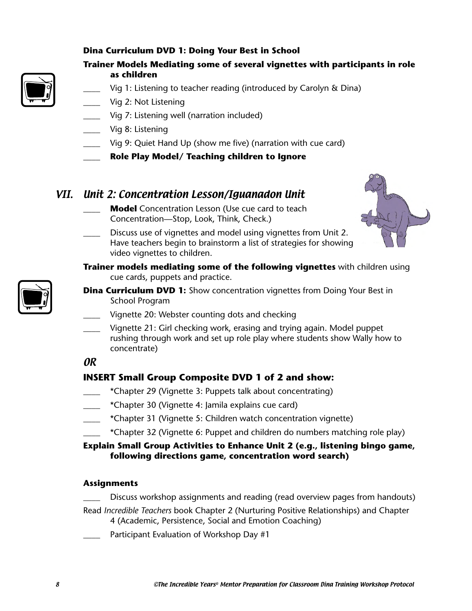## **Dina Curriculum DVD 1: Doing Your Best in School**



- **Trainer Models Mediating some of several vignettes with participants in role as children**
	- Vig 1: Listening to teacher reading (introduced by Carolyn & Dina)
- Vig 2: Not Listening
- Vig 7: Listening well (narration included)
- Vig 8: Listening
- \_\_\_\_ Vig 9: Quiet Hand Up (show me five) (narration with cue card)
- \_\_\_\_ **Role Play Model/ Teaching children to Ignore**

## VII. Unit 2: Concentration Lesson/Iguanadon Unit

\_\_\_\_ **Model** Concentration Lesson (Use cue card to teach Concentration—Stop, Look, Think, Check.)



- \_\_\_\_ Discuss use of vignettes and model using vignettes from Unit 2. Have teachers begin to brainstorm a list of strategies for showing video vignettes to children.
- **Trainer models mediating some of the following vignettes** with children using cue cards, puppets and practice.



- **Dina Curriculum DVD 1:** Show concentration vignettes from Doing Your Best in School Program
	- \_\_\_\_ Vignette 20: Webster counting dots and checking
	- Vignette 21: Girl checking work, erasing and trying again. Model puppet rushing through work and set up role play where students show Wally how to concentrate)

## OR

## **INSERT Small Group Composite DVD 1 of 2 and show:**

- \_\_\_\_ \*Chapter 29 (Vignette 3: Puppets talk about concentrating)
- \_\_\_\_ \*Chapter 30 (Vignette 4: Jamila explains cue card)
- \_\_\_\_ \*Chapter 31 (Vignette 5: Children watch concentration vignette)
- \*Chapter 32 (Vignette 6: Puppet and children do numbers matching role play)

### **Explain Small Group Activities to Enhance Unit 2 (e.g., listening bingo game, following directions game, concentration word search)**

### **Assignments**

- Discuss workshop assignments and reading (read overview pages from handouts)
- Read *Incredible Teachers* book Chapter 2 (Nurturing Positive Relationships) and Chapter 4 (Academic, Persistence, Social and Emotion Coaching)
- Participant Evaluation of Workshop Day #1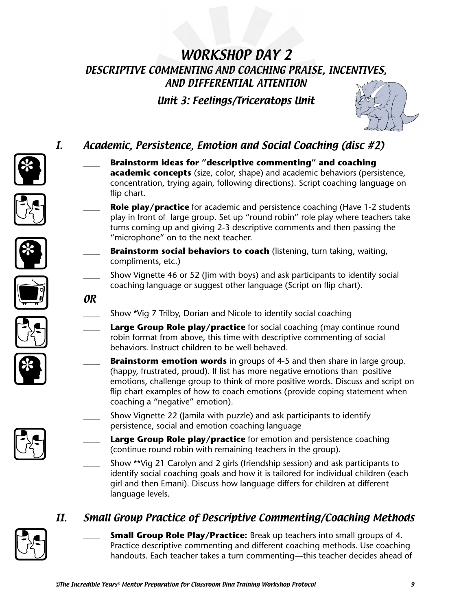# WORKSHOP DAY 2 DESCRIPTIVE COMMENTING AND COACHING PRAISE, INCENTIVES, AND DIFFERENTIAL ATTENTION

Unit 3: Feelings/Triceratops Unit

\_\_\_\_ **Brainstorm ideas for "descriptive commenting" and coaching** 

**academic concepts** (size, color, shape) and academic behaviors (persistence, concentration, trying again, following directions). Script coaching language on

**Role play/practice** for academic and persistence coaching (Have 1-2 students play in front of large group. Set up "round robin" role play where teachers take turns coming up and giving 2-3 descriptive comments and then passing the



# I. Academic, Persistence, Emotion and Social Coaching (disc #2)











Show \*Vig 7 Trilby, Dorian and Nicole to identify social coaching

coaching language or suggest other language (Script on flip chart).

"microphone" on to the next teacher.

Large Group Role play/practice for social coaching (may continue round robin format from above, this time with descriptive commenting of social behaviors. Instruct children to be well behaved.

**Brainstorm social behaviors to coach** (listening, turn taking, waiting,

\_\_\_\_ Show Vignette 46 or 52 (Jim with boys) and ask participants to identify social

- **Brainstorm emotion words** in groups of 4-5 and then share in large group. (happy, frustrated, proud). If list has more negative emotions than positive emotions, challenge group to think of more positive words. Discuss and script on flip chart examples of how to coach emotions (provide coping statement when coaching a "negative" emotion).
- Show Vignette 22 (Jamila with puzzle) and ask participants to identify persistence, social and emotion coaching language
	- **Large Group Role play/practice** for emotion and persistence coaching (continue round robin with remaining teachers in the group).
- \_\_\_\_ Show \*\*Vig 21 Carolyn and 2 girls (friendship session) and ask participants to identify social coaching goals and how it is tailored for individual children (each girl and then Emani). Discuss how language differs for children at different language levels.

# II. Small Group Practice of Descriptive Commenting/Coaching Methods



**Small Group Role Play/Practice:** Break up teachers into small groups of 4. Practice descriptive commenting and different coaching methods. Use coaching handouts. Each teacher takes a turn commenting—this teacher decides ahead of



OR

flip chart.

compliments, etc.)



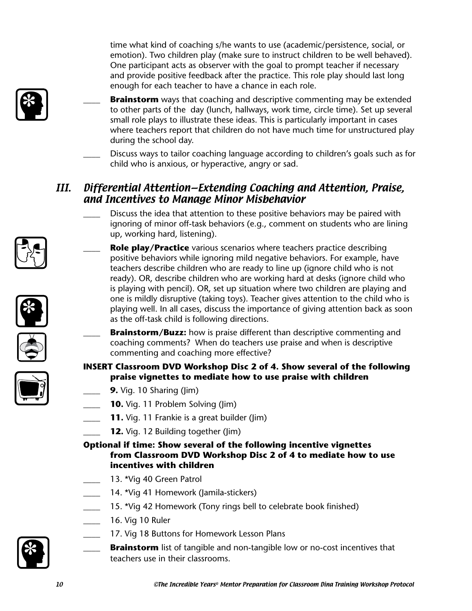time what kind of coaching s/he wants to use (academic/persistence, social, or emotion). Two children play (make sure to instruct children to be well behaved). One participant acts as observer with the goal to prompt teacher if necessary and provide positive feedback after the practice. This role play should last long enough for each teacher to have a chance in each role.



- **Brainstorm** ways that coaching and descriptive commenting may be extended to other parts of the day (lunch, hallways, work time, circle time). Set up several small role plays to illustrate these ideas. This is particularly important in cases where teachers report that children do not have much time for unstructured play during the school day.
- Discuss ways to tailor coaching language according to children's goals such as for child who is anxious, or hyperactive, angry or sad.

# III. Differential Attention—Extending Coaching and Attention, Praise, and Incentives to Manage Minor Misbehavior

- Discuss the idea that attention to these positive behaviors may be paired with ignoring of minor off-task behaviors (e.g., comment on students who are lining up, working hard, listening).
- **Role play/Practice** various scenarios where teachers practice describing positive behaviors while ignoring mild negative behaviors. For example, have teachers describe children who are ready to line up (ignore child who is not ready). OR, describe children who are working hard at desks (ignore child who is playing with pencil). OR, set up situation where two children are playing and one is mildly disruptive (taking toys). Teacher gives attention to the child who is playing well. In all cases, discuss the importance of giving attention back as soon as the off-task child is following directions.
- **Brainstorm/Buzz:** how is praise different than descriptive commenting and coaching comments? When do teachers use praise and when is descriptive commenting and coaching more effective?

## **INSERT Classroom DVD Workshop Disc 2 of 4. Show several of the following praise vignettes to mediate how to use praise with children**

- **9.** Vig. 10 Sharing (Jim)
	- **10.** Vig. 11 Problem Solving (Jim)
- **11.** Vig. 11 Frankie is a great builder (Jim)
- **12.** Vig. 12 Building together (Jim)

## **Optional if time: Show several of the following incentive vignettes from Classroom DVD Workshop Disc 2 of 4 to mediate how to use incentives with children**

- 13. \*Vig 40 Green Patrol
- 14. \*Vig 41 Homework (Jamila-stickers)
- 15. \*Vig 42 Homework (Tony rings bell to celebrate book finished)
- \_\_\_\_ 16. Vig 10 Ruler
- 17. Vig 18 Buttons for Homework Lesson Plans
- **Brainstorm** list of tangible and non-tangible low or no-cost incentives that teachers use in their classrooms.









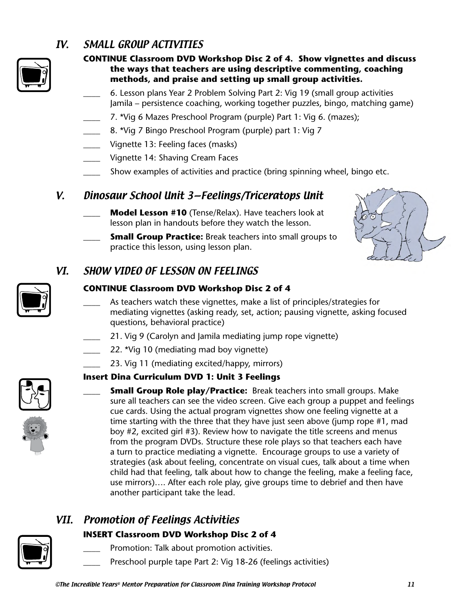# IV. SMALL GROUP ACTIVITIES



## **CONTINUE Classroom DVD Workshop Disc 2 of 4. Show vignettes and discuss the ways that teachers are using descriptive commenting, coaching methods, and praise and setting up small group activities.**

\_\_\_\_ 6. Lesson plans Year 2 Problem Solving Part 2: Vig 19 (small group activities Jamila – persistence coaching, working together puzzles, bingo, matching game)

- 7. \*Vig 6 Mazes Preschool Program (purple) Part 1: Vig 6. (mazes);
- 8. \*Vig 7 Bingo Preschool Program (purple) part 1: Vig 7
- Vignette 13: Feeling faces (masks)
- Vignette 14: Shaving Cream Faces
- Show examples of activities and practice (bring spinning wheel, bingo etc.

# V. Dinosaur School Unit 3—Feelings/Triceratops Unit

- **Model Lesson #10** (Tense/Relax). Have teachers look at lesson plan in handouts before they watch the lesson.
- **Small Group Practice:** Break teachers into small groups to practice this lesson, using lesson plan.



# VI. SHOW VIDEO OF LESSON ON FEELINGS

## **CONTINUE Classroom DVD Workshop Disc 2 of 4**

- As teachers watch these vignettes, make a list of principles/strategies for mediating vignettes (asking ready, set, action; pausing vignette, asking focused questions, behavioral practice)
- 21. Vig 9 (Carolyn and Jamila mediating jump rope vignette)
- 22. \*Vig 10 (mediating mad boy vignette)
- 23. Vig 11 (mediating excited/happy, mirrors)

## **Insert Dina Curriculum DVD 1: Unit 3 Feelings**





**Small Group Role play/Practice:** Break teachers into small groups. Make sure all teachers can see the video screen. Give each group a puppet and feelings cue cards. Using the actual program vignettes show one feeling vignette at a time starting with the three that they have just seen above (jump rope #1, mad boy #2, excited girl #3). Review how to navigate the title screens and menus from the program DVDs. Structure these role plays so that teachers each have a turn to practice mediating a vignette. Encourage groups to use a variety of strategies (ask about feeling, concentrate on visual cues, talk about a time when child had that feeling, talk about how to change the feeling, make a feeling face, use mirrors)…. After each role play, give groups time to debrief and then have another participant take the lead.

# VII. Promotion of Feelings Activities

## **INSERT Classroom DVD Workshop Disc 2 of 4**

- Promotion: Talk about promotion activities.
- Preschool purple tape Part 2: Vig 18-26 (feelings activities)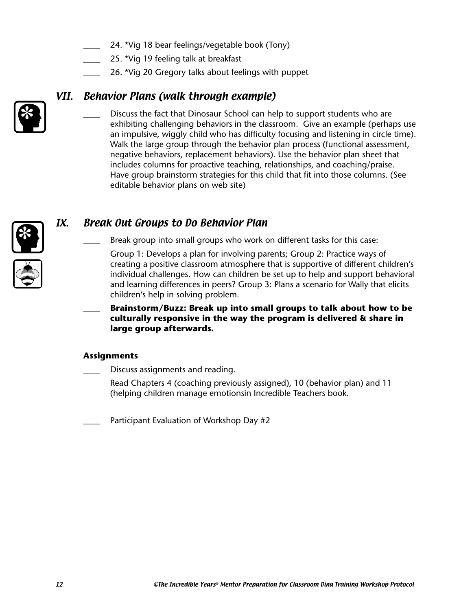- 24. \*Vig 18 bear feelings/vegetable book (Tony)
- 25. \*Vig 19 feeling talk at breakfast
- 26. \*Vig 20 Gregory talks about feelings with puppet

# VII. Behavior Plans (walk through example)

Discuss the fact that Dinosaur School can help to support students who are exhibiting challenging behaviors in the classroom. Give an example (perhaps use an impulsive, wiggly child who has difficulty focusing and listening in circle time). Walk the large group through the behavior plan process (functional assessment, negative behaviors, replacement behaviors). Use the behavior plan sheet that includes columns for proactive teaching, relationships, and coaching/praise. Have group brainstorm strategies for this child that fit into those columns. (See editable behavior plans on web site)

# IX. Break Out Groups to Do Behavior Plan

Break group into small groups who work on different tasks for this case:

Group 1: Develops a plan for involving parents; Group 2: Practice ways of creating a positive classroom atmosphere that is supportive of different children's individual challenges. How can children be set up to help and support behavioral and learning differences in peers? Group 3: Plans a scenario for Wally that elicits children's help in solving problem.

\_\_\_\_ **Brainstorm/Buzz: Break up into small groups to talk about how to be culturally responsive in the way the program is delivered & share in large group afterwards.** 

## **Assignments**

Discuss assignments and reading.

Read Chapters 4 (coaching previously assigned), 10 (behavior plan) and 11 (helping children manage emotionsin Incredible Teachers book.

Participant Evaluation of Workshop Day #2



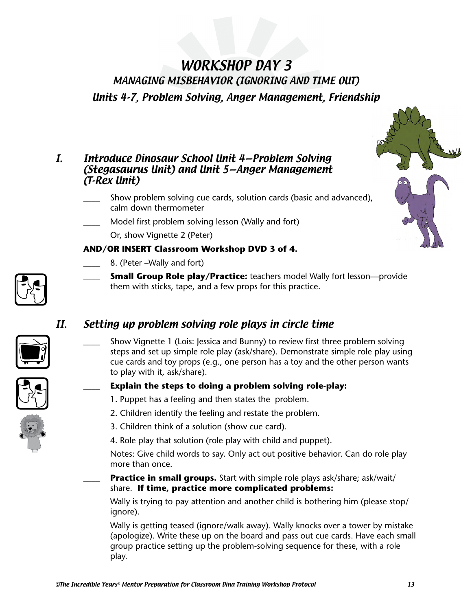# WORKSHOP DAY 3 MANAGING MISBEHAVIOR (IGNORING AND TIME OUT) Units 4-7, Problem Solving, Anger Management, Friendship

## I. Introduce Dinosaur School Unit 4—Problem Solving (Stegasaurus Unit) and Unit 5—Anger Management (T-Rex Unit)

- Show problem solving cue cards, solution cards (basic and advanced), calm down thermometer
- Model first problem solving lesson (Wally and fort)

Or, show Vignette 2 (Peter)

## **AND/OR INSERT Classroom Workshop DVD 3 of 4.**

- 8. (Peter –Wally and fort)
- \_\_\_\_ **Small Group Role play/Practice:** teachers model Wally fort lesson—provide them with sticks, tape, and a few props for this practice.

# II. Setting up problem solving role plays in circle time

Show Vignette 1 (Lois: Jessica and Bunny) to review first three problem solving steps and set up simple role play (ask/share). Demonstrate simple role play using cue cards and toy props (e.g., one person has a toy and the other person wants to play with it, ask/share).

## \_\_\_\_ **Explain the steps to doing a problem solving role-play:**

- 1. Puppet has a feeling and then states the problem.
- 2. Children identify the feeling and restate the problem.
- 3. Children think of a solution (show cue card).
- 4. Role play that solution (role play with child and puppet).

Notes: Give child words to say. Only act out positive behavior. Can do role play more than once.

## **Practice in small groups.** Start with simple role plays ask/share; ask/wait/ share. **If time, practice more complicated problems:**

Wally is trying to pay attention and another child is bothering him (please stop/ ignore).

Wally is getting teased (ignore/walk away). Wally knocks over a tower by mistake (apologize). Write these up on the board and pass out cue cards. Have each small group practice setting up the problem-solving sequence for these, with a role play.







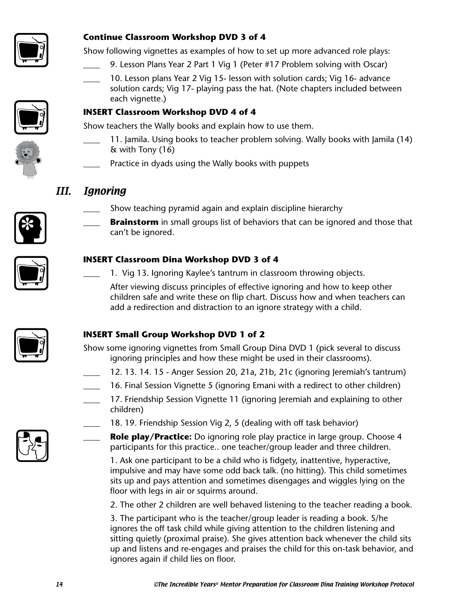

## **Continue Classroom Workshop DVD 3 of 4**

Show following vignettes as examples of how to set up more advanced role plays:

- 9. Lesson Plans Year 2 Part 1 Vig 1 (Peter #17 Problem solving with Oscar)
- 10. Lesson plans Year 2 Vig 15- lesson with solution cards; Vig 16- advance solution cards; Vig 17- playing pass the hat. (Note chapters included between each vignette.)



### **INSERT Classroom Workshop DVD 4 of 4**

Show teachers the Wally books and explain how to use them.

- 11. Jamila. Using books to teacher problem solving. Wally books with Jamila (14) & with Tony (16)
- Practice in dyads using the Wally books with puppets

# III. Ignoring



Show teaching pyramid again and explain discipline hierarchy **Brainstorm** in small groups list of behaviors that can be ignored and those that can't be ignored.



## **INSERT Classroom Dina Workshop DVD 3 of 4**

1. Vig 13. Ignoring Kaylee's tantrum in classroom throwing objects.

After viewing discuss principles of effective ignoring and how to keep other children safe and write these on flip chart. Discuss how and when teachers can add a redirection and distraction to an ignore strategy with a child.

## **INSERT Small Group Workshop DVD 1 of 2**

Show some ignoring vignettes from Small Group Dina DVD 1 (pick several to discuss ignoring principles and how these might be used in their classrooms).

- \_\_\_\_ 12. 13. 14. 15 Anger Session 20, 21a, 21b, 21c (ignoring Jeremiah's tantrum)
- \_\_\_\_ 16. Final Session Vignette 5 (ignoring Emani with a redirect to other children)
- 17. Friendship Session Vignette 11 (ignoring Jeremiah and explaining to other children)
	- 18. 19. Friendship Session Vig 2, 5 (dealing with off task behavior)
	- Role play/Practice: Do ignoring role play practice in large group. Choose 4 participants for this practice.. one teacher/group leader and three children.

 1. Ask one participant to be a child who is fidgety, inattentive, hyperactive, impulsive and may have some odd back talk. (no hitting). This child sometimes sits up and pays attention and sometimes disengages and wiggles lying on the floor with legs in air or squirms around.

2. The other 2 children are well behaved listening to the teacher reading a book.

3. The participant who is the teacher/group leader is reading a book. S/he ignores the off task child while giving attention to the children listening and sitting quietly (proximal praise). She gives attention back whenever the child sits up and listens and re-engages and praises the child for this on-task behavior, and ignores again if child lies on floor.

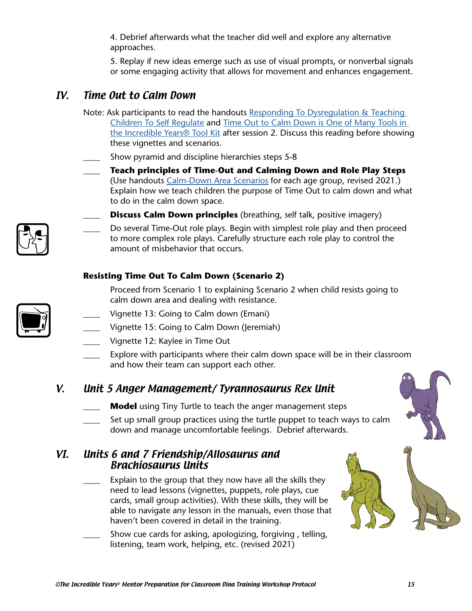4. Debrief afterwards what the teacher did well and explore any alternative approaches.

5. Replay if new ideas emerge such as use of visual prompts, or nonverbal signals or some engaging activity that allows for movement and enhances engagement.

# IV. Time Out to Calm Down

- Note: Ask participants to read the handouts Responding To Dysregulation & Teaching [Children To Self Regulate](https://incredibleyears.com/?wpfb_dl=1457) and [Time Out to Calm Down is One of Many Tools in](https://incredibleyears.com/?wpfb_dl=2072)  [the Incredible Years® Tool Kit](https://incredibleyears.com/?wpfb_dl=2072) after session 2. Discuss this reading before showing these vignettes and scenarios.
- Show pyramid and discipline hierarchies steps 5-8
- \_\_\_\_ **Teach principles of Time-Out and Calming Down and Role Play Steps** (Use handouts [Calm-Down Area Scenarios](https://incredibleyears.com/?wpfb_dl=1995) for each age group, revised 2021.) Explain how we teach children the purpose of Time Out to calm down and what to do in the calm down space.
- 
- **Discuss Calm Down principles** (breathing, self talk, positive imagery)
	- Do several Time-Out role plays. Begin with simplest role play and then proceed to more complex role plays. Carefully structure each role play to control the amount of misbehavior that occurs.

## **Resisting Time Out To Calm Down (Scenario 2)**

Proceed from Scenario 1 to explaining Scenario 2 when child resists going to calm down area and dealing with resistance.

- Vignette 13: Going to Calm down (Emani)
	- Vignette 15: Going to Calm Down (Jeremiah)
	- Vignette 12: Kaylee in Time Out
	- Explore with participants where their calm down space will be in their classroom and how their team can support each other.

## V. Unit 5 Anger Management/ Tyrannosaurus Rex Unit

- **Model** using Tiny Turtle to teach the anger management steps
- Set up small group practices using the turtle puppet to teach ways to calm down and manage uncomfortable feelings. Debrief afterwards.

## VI. Units 6 and 7 Friendship/Allosaurus and Brachiosaurus Units

- Explain to the group that they now have all the skills they need to lead lessons (vignettes, puppets, role plays, cue cards, small group activities). With these skills, they will be able to navigate any lesson in the manuals, even those that haven't been covered in detail in the training.
- Show cue cards for asking, apologizing, forgiving, telling, listening, team work, helping, etc. (revised 2021)



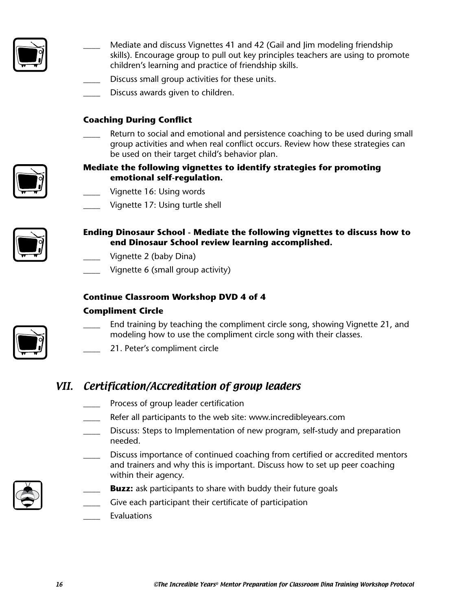

- Mediate and discuss Vignettes 41 and 42 (Gail and Jim modeling friendship skills). Encourage group to pull out key principles teachers are using to promote children's learning and practice of friendship skills.
- Discuss small group activities for these units.
- Discuss awards given to children.

## **Coaching During Conflict**

**\_\_\_\_** Return to social and emotional and persistence coaching to be used during small group activities and when real conflict occurs. Review how these strategies can be used on their target child's behavior plan.



- Vignette 16: Using words
- Vignette 17: Using turtle shell



- **Ending Dinosaur School Mediate the following vignettes to discuss how to end Dinosaur School review learning accomplished.**
	- Vignette 2 (baby Dina)
	- Vignette 6 (small group activity)

## **Continue Classroom Workshop DVD 4 of 4**

#### **Compliment Circle**



- End training by teaching the compliment circle song, showing Vignette 21, and modeling how to use the compliment circle song with their classes.
- \_\_\_\_ 21. Peter's compliment circle

# VII. Certification/Accreditation of group leaders

- Process of group leader certification
- Refer all participants to the web site: www.incredibleyears.com
- Discuss: Steps to Implementation of new program, self-study and preparation needed.
	- \_\_\_\_ Discuss importance of continued coaching from certified or accredited mentors and trainers and why this is important. Discuss how to set up peer coaching within their agency.
- **Buzz:** ask participants to share with buddy their future goals
- Give each participant their certificate of participation
- **Evaluations**

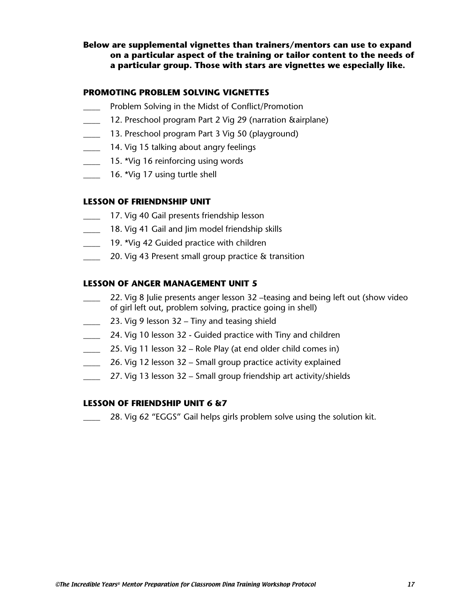### **Below are supplemental vignettes than trainers/mentors can use to expand on a particular aspect of the training or tailor content to the needs of a particular group. Those with stars are vignettes we especially like.**

#### **PROMOTING PROBLEM SOLVING VIGNETTES**

- Problem Solving in the Midst of Conflict/Promotion
- 12. Preschool program Part 2 Vig 29 (narration &airplane)
- 13. Preschool program Part 3 Vig 50 (playground)
- \_\_\_\_ 14. Vig 15 talking about angry feelings
- \_\_\_\_ 15. \*Vig 16 reinforcing using words
	- 16. \*Vig 17 using turtle shell

#### **LESSON OF FRIENDNSHIP UNIT**

- **17. Vig 40 Gail presents friendship lesson**
- 18. Vig 41 Gail and Jim model friendship skills
- 19. \*Vig 42 Guided practice with children
- 20. Vig 43 Present small group practice & transition

#### **LESSON OF ANGER MANAGEMENT UNIT 5**

- \_\_\_\_ 22. Vig 8 Julie presents anger lesson 32 –teasing and being left out (show video of girl left out, problem solving, practice going in shell)
- **23. Vig 9 lesson 32 Tiny and teasing shield**
- 24. Vig 10 lesson 32 Guided practice with Tiny and children
- 25. Vig 11 lesson 32 Role Play (at end older child comes in)
- **26. Vig 12 lesson 32 Small group practice activity explained**
- 27. Vig 13 lesson 32 Small group friendship art activity/shields

#### **LESSON OF FRIENDSHIP UNIT 6 &7**

28. Vig 62 "EGGS" Gail helps girls problem solve using the solution kit.